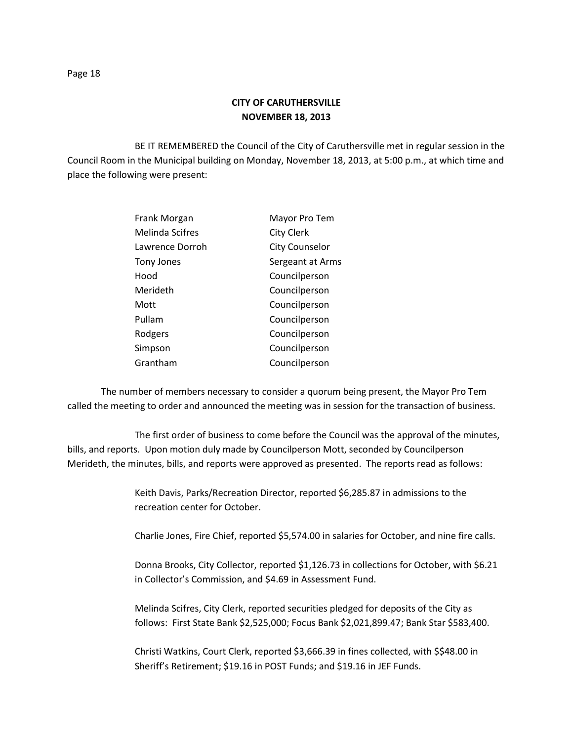BE IT REMEMBERED the Council of the City of Caruthersville met in regular session in the Council Room in the Municipal building on Monday, November 18, 2013, at 5:00 p.m., at which time and place the following were present:

| Frank Morgan    | Mayor Pro Tem         |
|-----------------|-----------------------|
| Melinda Scifres | <b>City Clerk</b>     |
| Lawrence Dorroh | <b>City Counselor</b> |
| Tony Jones      | Sergeant at Arms      |
| Hood            | Councilperson         |
| Merideth        | Councilperson         |
| Mott            | Councilperson         |
| Pullam          | Councilperson         |
| Rodgers         | Councilperson         |
| Simpson         | Councilperson         |
| Grantham        | Councilperson         |

The number of members necessary to consider a quorum being present, the Mayor Pro Tem called the meeting to order and announced the meeting was in session for the transaction of business.

The first order of business to come before the Council was the approval of the minutes, bills, and reports. Upon motion duly made by Councilperson Mott, seconded by Councilperson Merideth, the minutes, bills, and reports were approved as presented. The reports read as follows:

> Keith Davis, Parks/Recreation Director, reported \$6,285.87 in admissions to the recreation center for October.

Charlie Jones, Fire Chief, reported \$5,574.00 in salaries for October, and nine fire calls.

Donna Brooks, City Collector, reported \$1,126.73 in collections for October, with \$6.21 in Collector's Commission, and \$4.69 in Assessment Fund.

Melinda Scifres, City Clerk, reported securities pledged for deposits of the City as follows: First State Bank \$2,525,000; Focus Bank \$2,021,899.47; Bank Star \$583,400.

Christi Watkins, Court Clerk, reported \$3,666.39 in fines collected, with \$\$48.00 in Sheriff's Retirement; \$19.16 in POST Funds; and \$19.16 in JEF Funds.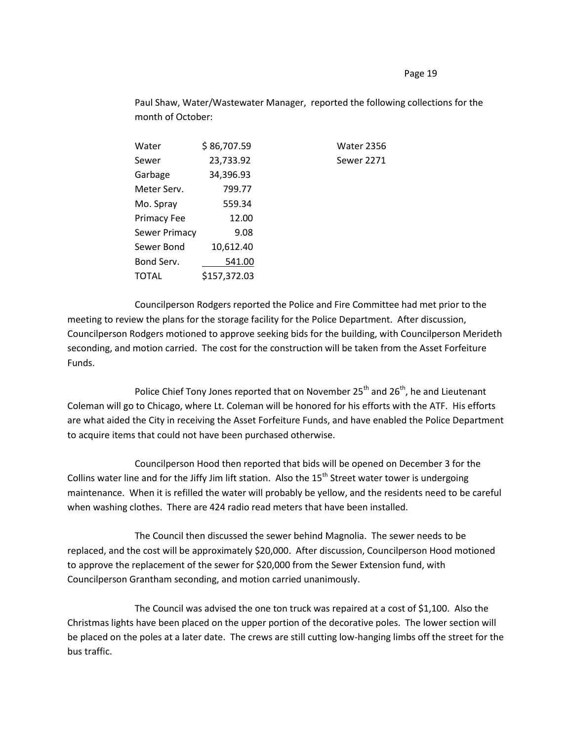## Page 19

Paul Shaw, Water/Wastewater Manager, reported the following collections for the month of October:

| Water         | \$86,707.59  | <b>Water 2356</b> |
|---------------|--------------|-------------------|
| Sewer         | 23,733.92    | <b>Sewer 2271</b> |
| Garbage       | 34,396.93    |                   |
| Meter Serv.   | 799.77       |                   |
| Mo. Spray     | 559.34       |                   |
| Primacy Fee   | 12.00        |                   |
| Sewer Primacy | 9.08         |                   |
| Sewer Bond    | 10,612.40    |                   |
| Bond Serv.    | 541.00       |                   |
| TOTAL         | \$157,372.03 |                   |

Councilperson Rodgers reported the Police and Fire Committee had met prior to the meeting to review the plans for the storage facility for the Police Department. After discussion, Councilperson Rodgers motioned to approve seeking bids for the building, with Councilperson Merideth seconding, and motion carried. The cost for the construction will be taken from the Asset Forfeiture Funds.

Police Chief Tony Jones reported that on November  $25^{th}$  and  $26^{th}$ , he and Lieutenant Coleman will go to Chicago, where Lt. Coleman will be honored for his efforts with the ATF. His efforts are what aided the City in receiving the Asset Forfeiture Funds, and have enabled the Police Department to acquire items that could not have been purchased otherwise.

Councilperson Hood then reported that bids will be opened on December 3 for the Collins water line and for the Jiffy Jim lift station. Also the  $15<sup>th</sup>$  Street water tower is undergoing maintenance. When it is refilled the water will probably be yellow, and the residents need to be careful when washing clothes. There are 424 radio read meters that have been installed.

The Council then discussed the sewer behind Magnolia. The sewer needs to be replaced, and the cost will be approximately \$20,000. After discussion, Councilperson Hood motioned to approve the replacement of the sewer for \$20,000 from the Sewer Extension fund, with Councilperson Grantham seconding, and motion carried unanimously.

The Council was advised the one ton truck was repaired at a cost of \$1,100. Also the Christmas lights have been placed on the upper portion of the decorative poles. The lower section will be placed on the poles at a later date. The crews are still cutting low-hanging limbs off the street for the bus traffic.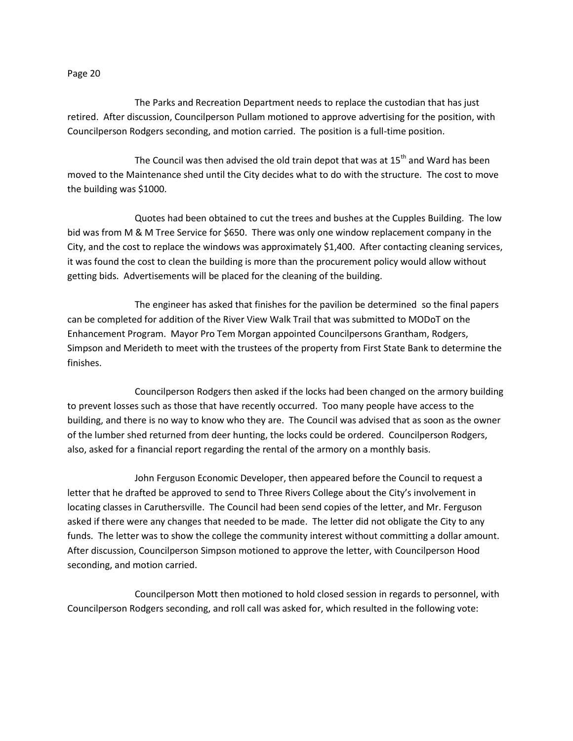## Page 20

The Parks and Recreation Department needs to replace the custodian that has just retired. After discussion, Councilperson Pullam motioned to approve advertising for the position, with Councilperson Rodgers seconding, and motion carried. The position is a full-time position.

The Council was then advised the old train depot that was at  $15<sup>th</sup>$  and Ward has been moved to the Maintenance shed until the City decides what to do with the structure. The cost to move the building was \$1000.

Quotes had been obtained to cut the trees and bushes at the Cupples Building. The low bid was from M & M Tree Service for \$650. There was only one window replacement company in the City, and the cost to replace the windows was approximately \$1,400. After contacting cleaning services, it was found the cost to clean the building is more than the procurement policy would allow without getting bids. Advertisements will be placed for the cleaning of the building.

The engineer has asked that finishes for the pavilion be determined so the final papers can be completed for addition of the River View Walk Trail that was submitted to MODoT on the Enhancement Program. Mayor Pro Tem Morgan appointed Councilpersons Grantham, Rodgers, Simpson and Merideth to meet with the trustees of the property from First State Bank to determine the finishes.

Councilperson Rodgers then asked if the locks had been changed on the armory building to prevent losses such as those that have recently occurred. Too many people have access to the building, and there is no way to know who they are. The Council was advised that as soon as the owner of the lumber shed returned from deer hunting, the locks could be ordered. Councilperson Rodgers, also, asked for a financial report regarding the rental of the armory on a monthly basis.

John Ferguson Economic Developer, then appeared before the Council to request a letter that he drafted be approved to send to Three Rivers College about the City's involvement in locating classes in Caruthersville. The Council had been send copies of the letter, and Mr. Ferguson asked if there were any changes that needed to be made. The letter did not obligate the City to any funds. The letter was to show the college the community interest without committing a dollar amount. After discussion, Councilperson Simpson motioned to approve the letter, with Councilperson Hood seconding, and motion carried.

Councilperson Mott then motioned to hold closed session in regards to personnel, with Councilperson Rodgers seconding, and roll call was asked for, which resulted in the following vote: